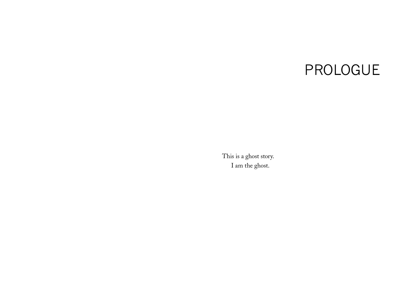## PROLOGUE

This is a ghost story. I am the ghost.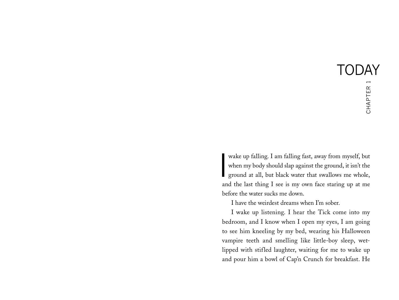I wake up falling. I am falling fast, away from myself, but when my body should slap against the ground, it isn't the ground at all, but black water that swallows me whole, and the last thing I see is my own face staring up at me before the water sucks me down.

I have the weirdest dreams when I'm sober.

I wake up listening. I hear the Tick come into my bedroom, and I know when I open my eyes, I am going to see him kneeling by my bed, wearing his Halloween vampire teeth and smelling like little-boy sleep, wetlipped with stifled laughter, waiting for me to wake up and pour him a bowl of Cap'n Crunch for breakfast. He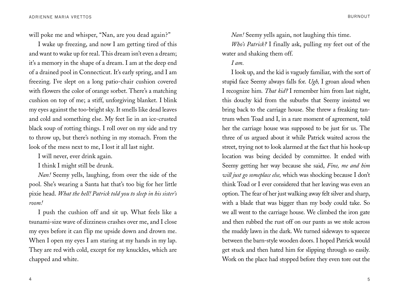will poke me and whisper, "Nan, are you dead again?"

I wake up freezing, and now I am getting tired of this and want to wake up for real. This dream isn't even a dream; it's a memory in the shape of a dream. I am at the deep end of a drained pool in Connecticut. It's early spring, and I am freezing. I've slept on a long patio-chair cushion covered with flowers the color of orange sorbet. There's a matching cushion on top of me; a stiff, unforgiving blanket. I blink my eyes against the too-bright sky. It smells like dead leaves and cold and something else. My feet lie in an ice-crusted black soup of rotting things. I roll over on my side and try to throw up, but there's nothing in my stomach. From the look of the mess next to me, I lost it all last night.

I will never, ever drink again.

I think I might still be drunk.

*Nan!* Seemy yells, laughing, from over the side of the pool. She's wearing a Santa hat that's too big for her little pixie head. *What the hell! Patrick told you to sleep in his sister's room!*

I push the cushion off and sit up. What feels like a tsunami-size wave of dizziness crashes over me, and I close my eyes before it can flip me upside down and drown me. When I open my eyes I am staring at my hands in my lap. They are red with cold, except for my knuckles, which are chapped and white.

*Nan!* Seemy yells again, not laughing this time.

*Who's Patrick?* I finally ask, pulling my feet out of the water and shaking them off.

## *I am.*

I look up, and the kid is vaguely familiar, with the sort of stupid face Seemy always falls for. *Ugh,* I groan aloud when I recognize him*. That kid?* I remember him from last night, this douchy kid from the suburbs that Seemy insisted we bring back to the carriage house. She threw a freaking tantrum when Toad and I, in a rare moment of agreement, told her the carriage house was supposed to be just for us. The three of us argued about it while Patrick waited across the street, trying not to look alarmed at the fact that his hook-up location was being decided by committee. It ended with Seemy getting her way because she said, *Fine, me and him will just go someplace else,* which was shocking because I don't think Toad or I ever considered that her leaving was even an option. The fear of her just walking away felt silver and sharp, with a blade that was bigger than my body could take. So we all went to the carriage house. We climbed the iron gate and then rubbed the rust off on our pants as we stole across the muddy lawn in the dark. We turned sideways to squeeze between the barn-style wooden doors. I hoped Patrick would get stuck and then hated him for slipping through so easily. Work on the place had stopped before they even tore out the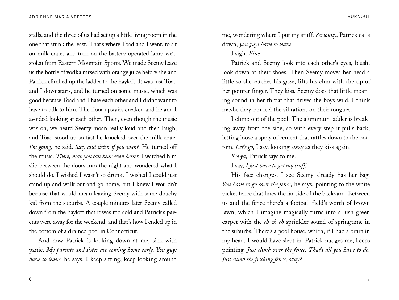stalls, and the three of us had set up a little living room in the one that stunk the least. That's where Toad and I went, to sit on milk crates and turn on the battery-operated lamp we'd stolen from Eastern Mountain Sports. We made Seemy leave us the bottle of vodka mixed with orange juice before she and Patrick climbed up the ladder to the hayloft. It was just Toad and I downstairs, and he turned on some music, which was good because Toad and I hate each other and I didn't want to have to talk to him. The floor upstairs creaked and he and I avoided looking at each other. Then, even though the music was on, we heard Seemy moan really loud and then laugh, and Toad stood up so fast he knocked over the milk crate. *I'm going,* he said. *Stay and listen if you want*. He turned off the music. *There, now you can hear even better.* I watched him slip between the doors into the night and wondered what I should do. I wished I wasn't so drunk. I wished I could just stand up and walk out and go home, but I knew I wouldn't because that would mean leaving Seemy with some douchy kid from the suburbs. A couple minutes later Seemy called down from the hayloft that it was too cold and Patrick's parents were away for the weekend, and that's how I ended up in the bottom of a drained pool in Connecticut.

And now Patrick is looking down at me, sick with panic. *My parents and sister are coming home early. You guys have to leave,* he says*.* I keep sitting, keep looking around

me, wondering where I put my stuff. *Seriously*, Patrick calls down, *you guys have to leave*.

## I sigh. *Fine.*

Patrick and Seemy look into each other's eyes, blush, look down at their shoes. Then Seemy moves her head a little so she catches his gaze, lifts his chin with the tip of her pointer finger. They kiss. Seemy does that little moaning sound in her throat that drives the boys wild. I think maybe they can feel the vibrations on their tongues.

I climb out of the pool. The aluminum ladder is breaking away from the side, so with every step it pulls back, letting loose a spray of cement that rattles down to the bottom. *Let's go*, I say, looking away as they kiss again.

*See ya,* Patrick says to me.

I say, *I just have to get my stuff*.

His face changes. I see Seemy already has her bag. *You have to go over the fence*, he says, pointing to the white picket fence that lines the far side of the backyard. Between us and the fence there's a football field's worth of brown lawn, which I imagine magically turns into a lush green carpet with the *ch-ch-ch* sprinkler sound of springtime in the suburbs. There's a pool house, which, if I had a brain in my head, I would have slept in. Patrick nudges me, keeps pointing. *Just climb over the fence. That's all you have to do. Just climb the fricking fence, okay?*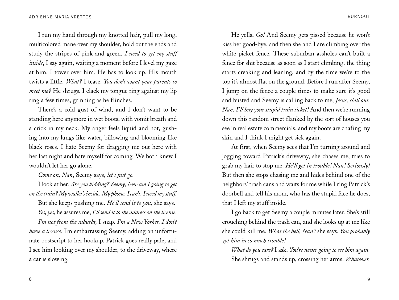I run my hand through my knotted hair, pull my long, multicolored mane over my shoulder, hold out the ends and study the stripes of pink and green. *I need to get my stuff inside*, I say again, waiting a moment before I level my gaze at him. I tower over him. He has to look up. His mouth twists a little. *What?* I tease. *You don't want your parents to meet me?* He shrugs. I clack my tongue ring against my lip ring a few times, grinning as he flinches.

There's a cold gust of wind, and I don't want to be standing here anymore in wet boots, with vomit breath and a crick in my neck. My anger feels liquid and hot, gushing into my lungs like water, billowing and blooming like black roses. I hate Seemy for dragging me out here with her last night and hate myself for coming. We both knew I wouldn't let her go alone.

*Come on, Nan*, Seemy says, *let's just go*.

I look at her. *Are you kidding? Seemy, how am I going to get on the train? My wallet's inside. My phone. I can't. I need my stuff.*

But she keeps pushing me. *He'll send it to you,* she says. *Yes, yes*, he assures me, *I'll send it to the address on the license.*

*I'm not from the suburbs,* I snap. *I'm a New Yorker. I don't have a license.* I'm embarrassing Seemy, adding an unfortunate postscript to her hookup. Patrick goes really pale, and I see him looking over my shoulder, to the driveway, where a car is slowing.

He yells, *Go!* And Seemy gets pissed because he won't kiss her good-bye, and then she and I are climbing over the white picket fence. These suburban assholes can't built a fence for shit because as soon as I start climbing, the thing starts creaking and leaning, and by the time we're to the top it's almost flat on the ground. Before I run after Seemy, I jump on the fence a couple times to make sure it's good and busted and Seemy is calling back to me, *Jesus, chill out, Nan, I'll buy your stupid train ticket!* And then we're running down this random street flanked by the sort of houses you see in real estate commercials, and my boots are chafing my skin and I think I might get sick again.

At first, when Seemy sees that I'm turning around and jogging toward Patrick's driveway, she chases me, tries to grab my hair to stop me. *He'll get in trouble! Nan! Seriously!*  But then she stops chasing me and hides behind one of the neighbors' trash cans and waits for me while I ring Patrick's doorbell and tell his mom, who has the stupid face he does, that I left my stuff inside.

I go back to get Seemy a couple minutes later. She's still crouching behind the trash can, and she looks up at me like she could kill me. *What the hell, Nan?* she says. *You probably got him in so much trouble!*

*What do you care?* I ask. *You're never going to see him again.* She shrugs and stands up, crossing her arms. *Whatever.*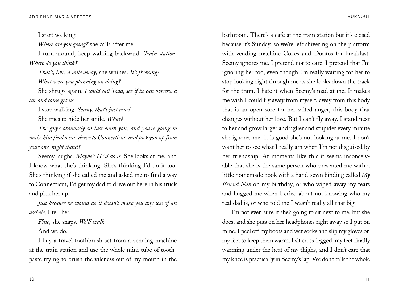I start walking. *Where are you going?* she calls after me. I turn around, keep walking backward. *Train station. Where do you think? That's, like, a mile away,* she whines. *It's freezing! What were you planning on doing?* She shrugs again. *I could call Toad, see if he can borrow a* 

*car and come get us.*

I stop walking. *Seemy, that's just cruel.* She tries to hide her smile. *What?*

*The guy's obviously in lust with you, and you're going to make him find a car, drive to Connecticut, and pick you up from your one-night stand?*

Seemy laughs. *Maybe? He'd do it.* She looks at me, and I know what she's thinking. She's thinking I'd do it too. She's thinking if she called me and asked me to find a way to Connecticut, I'd get my dad to drive out here in his truck and pick her up.

*Just because he would do it doesn't make you any less of an asshole,* I tell her.

*Fine,* she snaps. *We'll walk.*

And we do.

I buy a travel toothbrush set from a vending machine at the train station and use the whole mini tube of toothpaste trying to brush the vileness out of my mouth in the

bathroom. There's a cafe at the train station but it's closed because it's Sunday, so we're left shivering on the platform with vending machine Cokes and Doritos for breakfast. Seemy ignores me. I pretend not to care. I pretend that I'm ignoring her too, even though I'm really waiting for her to stop looking right through me as she looks down the track for the train. I hate it when Seemy's mad at me. It makes me wish I could fly away from myself, away from this body that is an open sore for her salted anger, this body that changes without her love. But I can't fly away. I stand next to her and grow larger and uglier and stupider every minute she ignores me. It is good she's not looking at me. I don't want her to see what I really am when I'm not disguised by her friendship. At moments like this it seems inconceivable that she is the same person who presented me with a little homemade book with a hand-sewn binding called *My Friend Nan* on my birthday, or who wiped away my tears

real dad is, or who told me I wasn't really all that big. I'm not even sure if she's going to sit next to me, but she does, and she puts on her headphones right away so I put on mine. I peel off my boots and wet socks and slip my gloves on my feet to keep them warm. I sit cross-legged, my feet finally warming under the heat of my thighs, and I don't care that my knee is practically in Seemy's lap. We don't talk the whole

and hugged me when I cried about not knowing who my